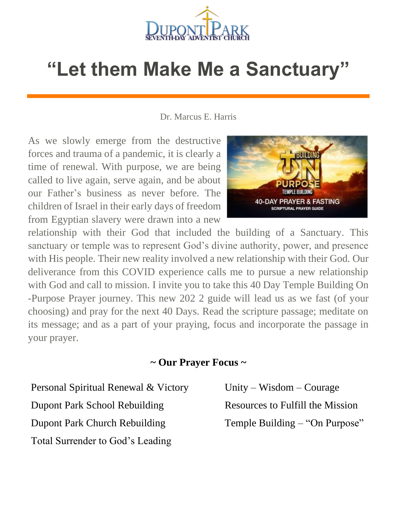

## **"Let them Make Me a Sanctuary"**

Dr. Marcus E. Harris

As we slowly emerge from the destructive forces and trauma of a pandemic, it is clearly a time of renewal. With purpose, we are being called to live again, serve again, and be about our Father's business as never before. The children of Israel in their early days of freedom from Egyptian slavery were drawn into a new



relationship with their God that included the building of a Sanctuary. This sanctuary or temple was to represent God's divine authority, power, and presence with His people. Their new reality involved a new relationship with their God. Our deliverance from this COVID experience calls me to pursue a new relationship with God and call to mission. I invite you to take this 40 Day Temple Building On -Purpose Prayer journey. This new 202 2 guide will lead us as we fast (of your choosing) and pray for the next 40 Days. Read the scripture passage; meditate on its message; and as a part of your praying, focus and incorporate the passage in your prayer.

## **~ Our Prayer Focus ~**

Personal Spiritual Renewal & Victory Dupont Park School Rebuilding

Dupont Park Church Rebuilding

Total Surrender to God's Leading

Unity – Wisdom – Courage Resources to Fulfill the Mission Temple Building – "On Purpose"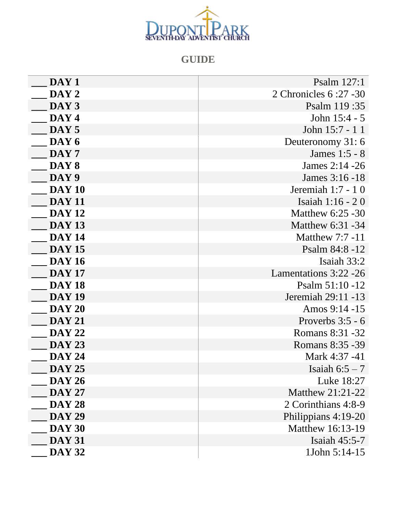

## **GUIDE**

| DAY <sub>1</sub> | Psalm 127:1             |
|------------------|-------------------------|
| DAY 2            | 2 Chronicles 6:27 -30   |
| DAY 3            | Psalm 119:35            |
| DAY 4            | John 15:4 - 5           |
| DAY 5            | John 15:7 - 1 1         |
| DAY 6            | Deuteronomy 31:6        |
| DAY 7            | James 1:5 - 8           |
| DAY 8            | James 2:14 - 26         |
| DAY 9            | James 3:16 -18          |
| <b>DAY 10</b>    | Jeremiah 1:7 - 10       |
| <b>DAY 11</b>    | Isaiah 1:16 - 20        |
| <b>DAY 12</b>    | Matthew $6:25 - 30$     |
| <b>DAY 13</b>    | Matthew 6:31 -34        |
| <b>DAY 14</b>    | <b>Matthew 7:7 -11</b>  |
| <b>DAY 15</b>    | Psalm 84:8 -12          |
| <b>DAY 16</b>    | Isaiah 33:2             |
| <b>DAY 17</b>    | Lamentations 3:22 -26   |
| <b>DAY 18</b>    | Psalm $51:10 - 12$      |
| <b>DAY 19</b>    | Jeremiah 29:11 -13      |
| <b>DAY 20</b>    | Amos 9:14 -15           |
| <b>DAY 21</b>    | Proverbs $3:5 - 6$      |
| <b>DAY 22</b>    | Romans 8:31 -32         |
| <b>DAY 23</b>    | Romans 8:35 - 39        |
| <b>DAY 24</b>    | Mark 4:37 -41           |
| <b>DAY 25</b>    | Isaiah $6:5-7$          |
| <b>DAY 26</b>    | Luke 18:27              |
| <b>DAY 27</b>    | <b>Matthew 21:21-22</b> |
| <b>DAY 28</b>    | 2 Corinthians 4:8-9     |
| <b>DAY 29</b>    | Philippians 4:19-20     |
| <b>DAY 30</b>    | Matthew 16:13-19        |
| <b>DAY 31</b>    | Isaiah 45:5-7           |
| <b>DAY 32</b>    | 1John 5:14-15           |